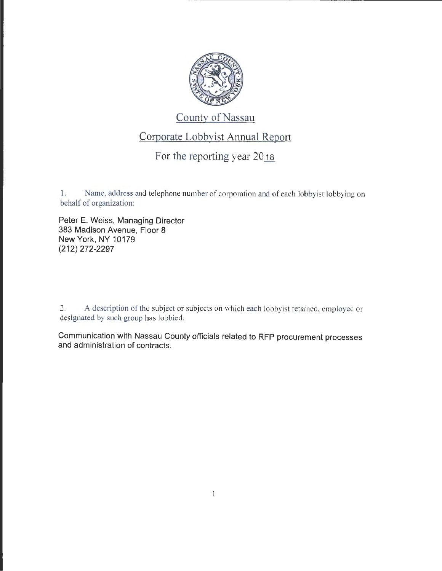

## County of Nassau

## Corporate Lobbyist Annual Report

## For the reporting year  $20_{18}$

1. Name, address and telephone number of corporation and of each lobbyist lobbying on behalf of organization:

Peter E. Weiss, Managing Director 383 Madison Avenue, Floor 8 New York, NY 10179 (212) 272-2297

2. A description of the subject or subjects on which each lobbyist retained. employed or designated by such group has lobbied:

Communication with Nassau County officials related to RFP procurement processes and administration of contracts.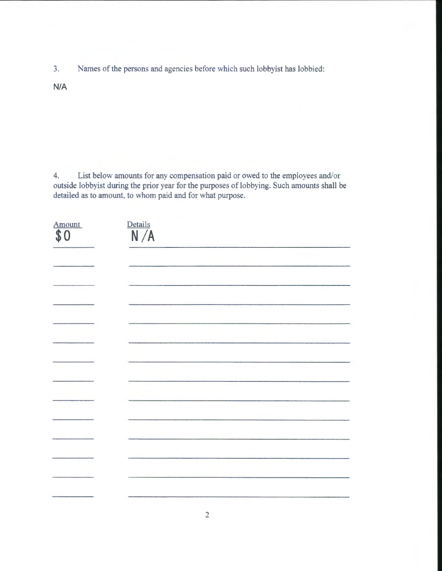3. Names of the persons and agencies before which such lobbyist has lobbied:

N/A

4. List below amounts for any compensation paid or owed to the employees and/or outside lobbyist during the prior year for the purposes of lobbying. Such amounts shall be detailed as to amount, to whom paid and for what purpose.

| Amount<br>\$<br>$\Omega$ | Details<br>N/A |
|--------------------------|----------------|
|                          |                |
|                          |                |
|                          |                |
|                          |                |
|                          |                |
|                          |                |
|                          |                |
|                          |                |
|                          |                |
|                          |                |
|                          |                |
|                          |                |
|                          |                |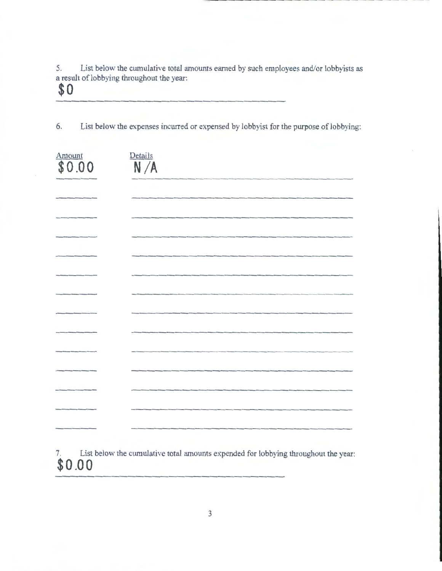5. List below the cumulative total amounts earned by such employees and/or lobbyists as a result of lobbying throughout the year:

\_\_\_\_\_\_\_\_\_\_\_\_ .........

## **\$0**

6. List below the expenses incurred or expensed by lobbyist for the purpose of lobbying:

| $\overbrace {\boldsymbol{\$0.00}}^\text{Amount}$ | $\frac{\text{Details}}{\text{N}/\text{A}}$ |
|--------------------------------------------------|--------------------------------------------|
|                                                  |                                            |
|                                                  |                                            |
|                                                  |                                            |
|                                                  |                                            |
|                                                  |                                            |
|                                                  |                                            |
|                                                  |                                            |
|                                                  |                                            |
|                                                  |                                            |
|                                                  |                                            |
|                                                  |                                            |
|                                                  |                                            |
|                                                  |                                            |

List below the cumulative total amounts expended for lobbying throughout the year: **\$0.00**